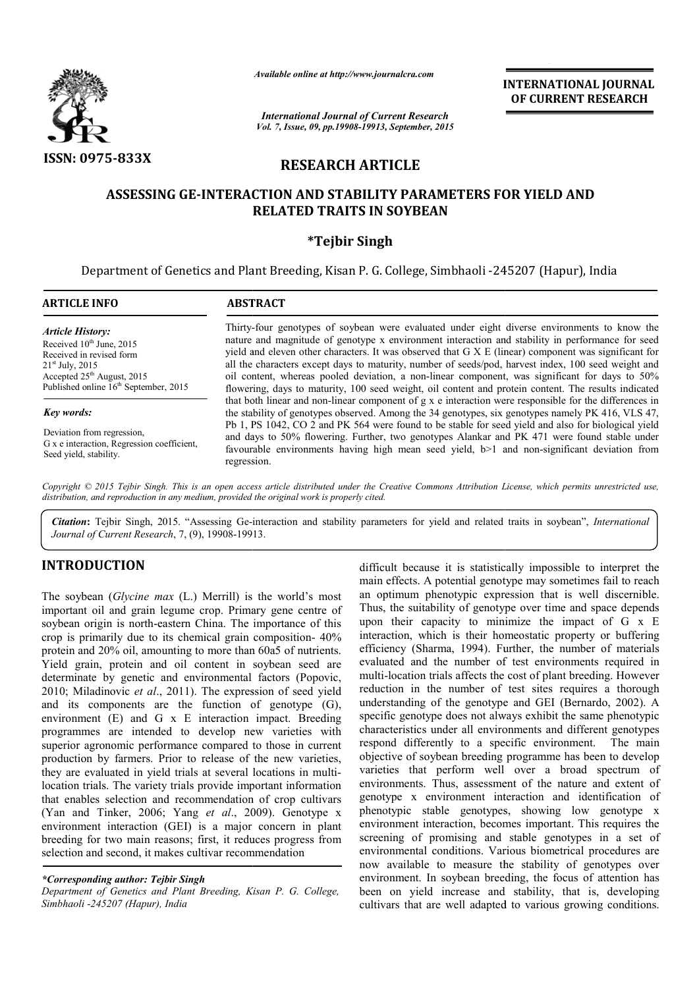

*Available online at http://www.journalcra.com*

**INTERNATIONAL INTERNATIONAL JOURNAL OF CURRENT RESEARCH** 

*International Journal of Current Research Vol. 7, Issue, 09, pp.19908-19913, September, 2015*

## **RESEARCH ARTICLE**

# ASSESSING GE-INTERACTION AND STABILITY PARAMETERS FOR YIELD AND<br>RELATED TRAITS IN SOYBEAN

#### **\*Tejbir Singh**

Department of Genetics and Plant Breeding, Kisan P. G. College, Simbhaoli -245207 (Hapur), India 245207

#### **ARTICLE INFO ABSTRACT** Thirty-four genotypes of soybean were evaluated under eight diverse environments to know the nature and magnitude of genotype x environment interaction and stability in performance for seed yield and eleven other characters. It was observed that G X E (linear) component was significant for all the characters except days to maturity, number of seeds/pod, harvest index, 100 seed weight and oil content, whereas pooled deviation, a non-linear component, was significant for days to 50% flowering, days to maturity, 100 seed weight, oil content and protein content. The results indicated that both linear and non-linear component of g x e interaction were responsible for the differences in the stability of genotypes observed. Among the 34 genotypes, six genotypes namely PK 416, VLS 47, Pb 1, PS 1042, CO 2 and PK 564 were found to be stable for seed yield and also for biological yield and days to 50% flowering. Further, two genotypes Alankar and PK 471 were found stable under Pb 1, PS 1042, CO 2 and PK 564 were found to be stable for seed yield and also for biological yield and days to 50% flowering. Further, two genotypes Alankar and PK 471 were found stable under favourable environments havin regression. *Article History:* Received  $10^{th}$  June, 2015 Received in revised form 21st July, 2015 Accepted 25<sup>th</sup> August, 2015 Published online 16<sup>th</sup> September, 2015 *Key words:* Deviation from regression, G x e interaction, Regression coefficient, Seed yield, stability. four genotypes of soybean were evaluated under eight diverse environments to know the and magnitude of genotype x environment interaction and stability in performance for seed nd eleven other characters. It was observed th the characters except days to maturity, number of seeds/pod, harvest index, 100 seed weight and content, whereas pooled deviation, a non-linear component, was significant for days to 50% vering, days to maturity, 100 seed

Copyright © 2015 Tejbir Singh. This is an open access article distributed under the Creative Commons Attribution License, which permits unrestricted use, *distribution, and reproduction in any medium, provided the original work is properly cited.*

Citation: Tejbir Singh, 2015. "Assessing Ge-interaction and stability parameters for yield and related traits in soybean", *International* Journal of Current Research, 7, (9), 19908-19913. *Journal of Current Research*, 7, (9), 19908-19913

#### **INTRODUCTION**

The soybean (*Glycine max* (L.) Merrill) is the world's most important oil and grain legume crop. Primary gene centre of soybean origin is north-eastern China. The importance of this soybean origin is north-eastern China. The importance of this crop is primarily due to its chemical grain composition-  $40\%$ protein and 20% oil, amounting to more than 60a5 of nutrients. Yield grain, protein and oil content in soybean seed are determinate by genetic and environmental factors (Popovic, 2010; Miladinovic *et al*., 2011). The expression of seed yield and its components are the function of genotype (G), environment  $(E)$  and  $G \times E$  interaction impact. Breeding programmes are intended to develop new varieties with superior agronomic performance compared to those in current production by farmers. Prior to release of the new varieties, they are evaluated in yield trials at several locations in multilocation trials. The variety trials provide important information that enables selection and recommendation of crop cultivars (Yan and Tinker, 2006; Yang *et al*., 2009). Genotype x environment interaction (GEI) is a major concern in plant breeding for two main reasons; first, it reduces progress from selection and second, it makes cultivar recommendation

#### *\*Corresponding author: Tejbir Singh*

*Department of Genetics and Plant Breeding, Kisan P. G. College, Simbhaoli -245207 (Hapur), India*

difficult because it is statistically impossible to interpret the main effects. A potential genotype may sometimes fail to reach an optimum phenotypic expression that is well discernible. Thus, the suitability of genotype over time and space depends upon their capacity to minimize the impact of G x E interaction, which is their homeostatic property or buffering efficiency (Sharma, 1994). Further, the number of materials evaluated and the number of test environments required in multi-location trials affects the cost of plant breeding. However reduction in the number of test sites requires a thorough understanding of the genotype and GEI (Bernardo, 2002). A specific genotype does not always exhibit the same phenotypic characteristics under all environments and different genotypes respond differently to a specific environment. The main objective of soybean breeding programme has been to develop varieties that perform well over a broad spectrum of environments. Thus, assessment of the nature and exte objective of soybean breeding programme has been to develop varieties that perform well over a broad spectrum of environments. Thus, assessment of the nature and extent o genotype x environment interaction and identification of phenotypic stable genotypes, showing low genotype x environment interaction, becomes important. This requires the screening of promising and stable genotypes in a set of environmental conditions. Various biometrical procedures are now available to measure the stability of genotypes over environment. In soybean breeding, the focus of attention has been on yield increase and stability, that is, developing cultivars that are well adapted to various growing conditions. is it is statistically impossible to interpret the A potential genotype may sometimes fail to reach phenotypic expression that is well discernible.<br>tability of genotype over time and space depends upon their capacity to minimize the impact of  $G \times E$  interaction, which is their homeostatic property or buffering efficiency (Sharma, 1994). Further, the number of materials evaluated and the number of test environments x environment interaction and identification of<br>ic stable genotypes, showing low genotype x<br>ent interaction, becomes important. This requires the<br>of promising and stable genotypes in a set of<br>ental conditions. Various biom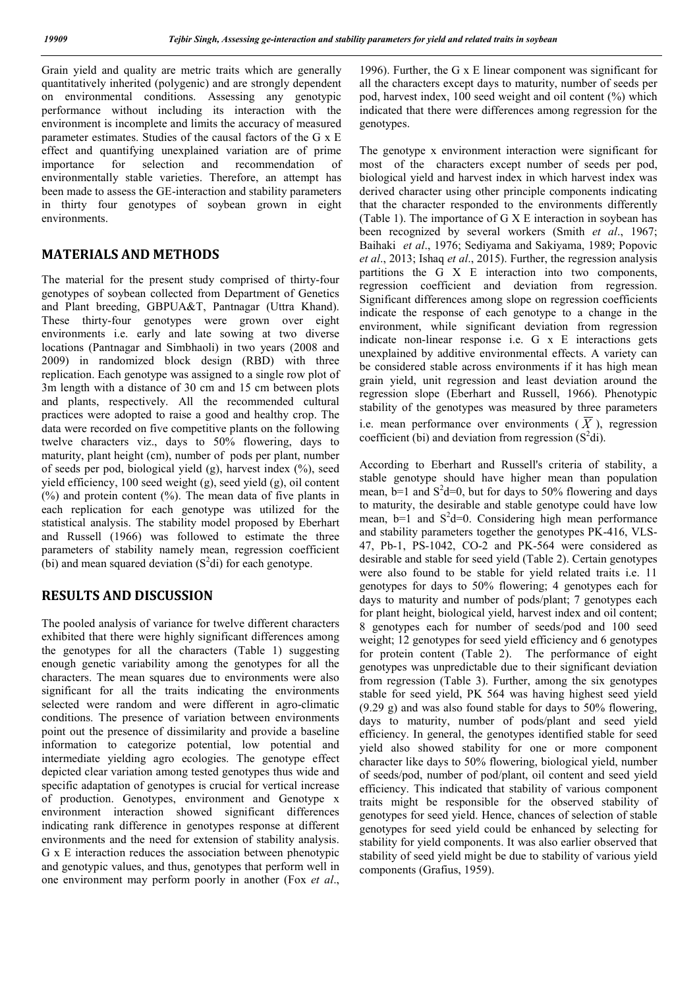Grain yield and quality are metric traits which are generally quantitatively inherited (polygenic) and are strongly dependent on environmental conditions. Assessing any genotypic performance without including its interaction with the environment is incomplete and limits the accuracy of measured parameter estimates. Studies of the causal factors of the G x E effect and quantifying unexplained variation are of prime importance for selection and recommendation of environmentally stable varieties. Therefore, an attempt has been made to assess the GE-interaction and stability parameters in thirty four genotypes of soybean grown in eight environments.

### **MATERIALS AND METHODS**

The material for the present study comprised of thirty-four genotypes of soybean collected from Department of Genetics and Plant breeding, GBPUA&T, Pantnagar (Uttra Khand). These thirty-four genotypes were grown over eight environments i.e. early and late sowing at two diverse locations (Pantnagar and Simbhaoli) in two years (2008 and 2009) in randomized block design (RBD) with three replication. Each genotype was assigned to a single row plot of 3m length with a distance of 30 cm and 15 cm between plots and plants, respectively. All the recommended cultural practices were adopted to raise a good and healthy crop. The data were recorded on five competitive plants on the following twelve characters viz., days to 50% flowering, days to maturity, plant height (cm), number of pods per plant, number of seeds per pod, biological yield  $(g)$ , harvest index  $(\%)$ , seed yield efficiency, 100 seed weight (g), seed yield (g), oil content (%) and protein content (%). The mean data of five plants in each replication for each genotype was utilized for the statistical analysis. The stability model proposed by Eberhart and Russell (1966) was followed to estimate the three parameters of stability namely mean, regression coefficient (bi) and mean squared deviation  $(S^2d)$  for each genotype.

#### **RESULTS AND DISCUSSION**

The pooled analysis of variance for twelve different characters exhibited that there were highly significant differences among the genotypes for all the characters (Table 1) suggesting enough genetic variability among the genotypes for all the characters. The mean squares due to environments were also significant for all the traits indicating the environments selected were random and were different in agro-climatic conditions. The presence of variation between environments point out the presence of dissimilarity and provide a baseline information to categorize potential, low potential and intermediate yielding agro ecologies. The genotype effect depicted clear variation among tested genotypes thus wide and specific adaptation of genotypes is crucial for vertical increase of production. Genotypes, environment and Genotype x environment interaction showed significant differences indicating rank difference in genotypes response at different environments and the need for extension of stability analysis. G x E interaction reduces the association between phenotypic and genotypic values, and thus, genotypes that perform well in one environment may perform poorly in another (Fox *et al*.,

1996). Further, the G x E linear component was significant for all the characters except days to maturity, number of seeds per pod, harvest index, 100 seed weight and oil content (%) which indicated that there were differences among regression for the genotypes.

The genotype x environment interaction were significant for most of the characters except number of seeds per pod, biological yield and harvest index in which harvest index was derived character using other principle components indicating that the character responded to the environments differently (Table 1). The importance of G X E interaction in soybean has been recognized by several workers (Smith *et al*., 1967; Baihaki *et al*., 1976; Sediyama and Sakiyama, 1989; Popovic *et al*., 2013; Ishaq *et al*., 2015). Further, the regression analysis partitions the G X E interaction into two components, regression coefficient and deviation from regression. Significant differences among slope on regression coefficients indicate the response of each genotype to a change in the environment, while significant deviation from regression indicate non-linear response i.e. G x E interactions gets unexplained by additive environmental effects. A variety can be considered stable across environments if it has high mean grain yield, unit regression and least deviation around the regression slope (Eberhart and Russell, 1966). Phenotypic stability of the genotypes was measured by three parameters i.e. mean performance over environments  $(\overline{X})$ , regression coefficient (bi) and deviation from regression  $(S^2 di)$ .

According to Eberhart and Russell's criteria of stability, a stable genotype should have higher mean than population mean,  $b=1$  and  $S^2d=0$ , but for days to 50% flowering and days to maturity, the desirable and stable genotype could have low mean,  $b=1$  and  $S^2d=0$ . Considering high mean performance and stability parameters together the genotypes PK-416, VLS-47, Pb-1, PS-1042, CO-2 and PK-564 were considered as desirable and stable for seed yield (Table 2). Certain genotypes were also found to be stable for yield related traits i.e. 11 genotypes for days to 50% flowering; 4 genotypes each for days to maturity and number of pods/plant; 7 genotypes each for plant height, biological yield, harvest index and oil content; 8 genotypes each for number of seeds/pod and 100 seed weight; 12 genotypes for seed yield efficiency and 6 genotypes for protein content (Table 2). The performance of eight genotypes was unpredictable due to their significant deviation from regression (Table 3). Further, among the six genotypes stable for seed yield, PK 564 was having highest seed yield (9.29 g) and was also found stable for days to 50% flowering, days to maturity, number of pods/plant and seed yield efficiency. In general, the genotypes identified stable for seed yield also showed stability for one or more component character like days to 50% flowering, biological yield, number of seeds/pod, number of pod/plant, oil content and seed yield efficiency. This indicated that stability of various component traits might be responsible for the observed stability of genotypes for seed yield. Hence, chances of selection of stable genotypes for seed yield could be enhanced by selecting for stability for yield components. It was also earlier observed that stability of seed yield might be due to stability of various yield components (Grafius, 1959).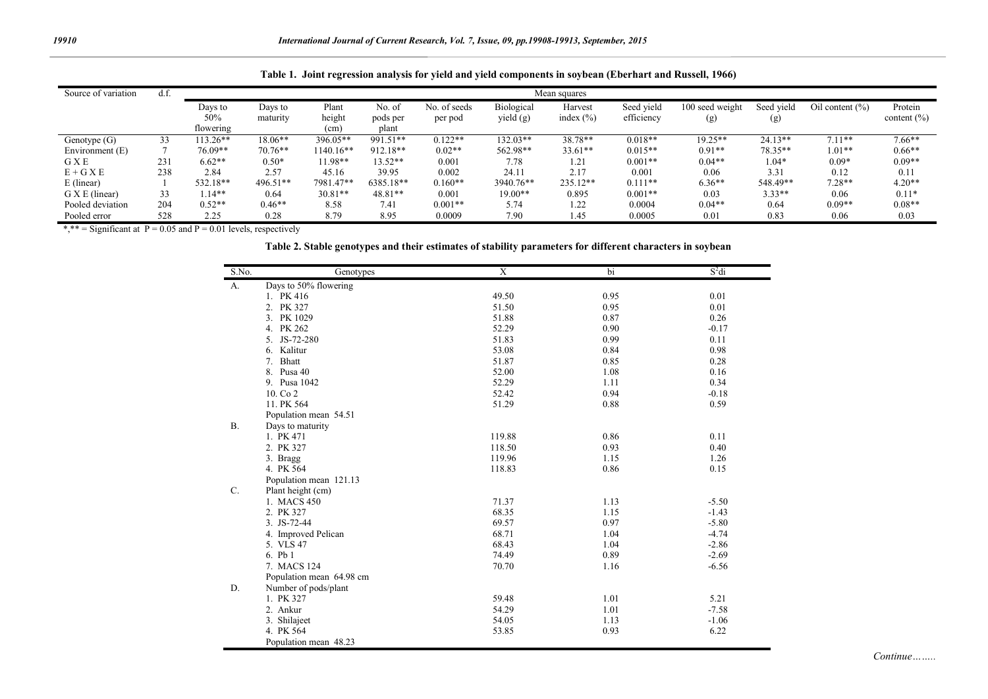|                         |      |              |           | -                 |           |              |            |               |            |                 |            |                     |                 |
|-------------------------|------|--------------|-----------|-------------------|-----------|--------------|------------|---------------|------------|-----------------|------------|---------------------|-----------------|
| Source of variation     | d.f. | Mean squares |           |                   |           |              |            |               |            |                 |            |                     |                 |
|                         |      | Days to      | Days to   | Plant             | No. of    | No. of seeds | Biological | Harvest       | Seed vield | 100 seed weight | Seed vield | Oil content $(\% )$ | Protein         |
|                         |      | 50%          | maturity  | height            | pods per  | per pod      | yield (g)  | index $(\% )$ | efficiency | (g)             | (g)        |                     | content $(\% )$ |
|                         |      | flowering    |           | (c <sub>m</sub> ) | plant     |              |            |               |            |                 |            |                     |                 |
| Genotype $(G)$          | 33   | 113.26*      | $18.06**$ | 396.05**          | 991.51**  | $0.122**$    | $132.03**$ | 38.78**       | $0.018**$  | $19.25**$       | $24.13**$  | $7.11**$            | $7.66**$        |
| Environment (E)         |      | 76.09**      | $70.76**$ | 1140.16**         | 912.18**  | $0.02**$     | 562.98**   | $33.61**$     | $0.015**$  | $0.91**$        | 78.35**    | $1.01**$            | $0.66**$        |
| <b>G</b> X <sup>E</sup> | 231  | $6.62**$     | $0.50*$   | 11.98**           | $13.52**$ | 0.001        | 7.78       | 1.21          | $0.001**$  | $0.04**$        | $.04*$     | $0.09*$             | $0.09**$        |
| $E+G X E$               | 238  | 2.84         | 2.57      | 45.16             | 39.95     | 0.002        | 24.11      | 2.17          | 0.001      | 0.06            | 3.31       | 0.12                | 0.11            |
| E (linear)              |      | 532.18**     | 496.51**  | 7981.47**         | 6385.18** | $0.160**$    | 3940.76**  | 235.12**      | $0.111**$  | $6.36**$        | 548.49**   | $7.28**$            | $4.20**$        |
| G X E (linear)          | 33   | 1.14**       | 0.64      | $30.81**$         | 48.81**   | 0.001        | $19.00**$  | 0.895         | $0.001**$  | 0.03            | $3.33**$   | 0.06                | $0.11*$         |
| Pooled deviation        | 204  | $0.52**$     | $0.46**$  | 8.58              | 7.41      | $0.001**$    | 5.74       | 1.22          | 0.0004     | $0.04**$        | 0.64       | $0.09**$            | $0.08**$        |
| Pooled error            | 528  | 2.25         | 0.28      | 8.79              | 8.95      | 0.0009       | 7.90       | 45. ،         | 0.0005     | 0.01            | 0.83       | 0.06                | 0.03            |

**Table 1. Joint regression analysis for yield and yield components in soybean (Eberhart and Russell, 1966)**

\*,\*\* = Significant at  $P = 0.05$  and  $P = 0.01$  levels, respectively

#### **Table 2. Stable genotypes and their estimates of stability parameters for different characters in soybean**

| S.No.     | Genotypes                | $\mathbf X$ | bi   | $S^2$ di |
|-----------|--------------------------|-------------|------|----------|
| A.        | Days to 50% flowering    |             |      |          |
|           | 1. PK 416                | 49.50       | 0.95 | 0.01     |
|           | 2. PK 327                | 51.50       | 0.95 | 0.01     |
|           | 3. PK 1029               | 51.88       | 0.87 | 0.26     |
|           | 4. PK 262                | 52.29       | 0.90 | $-0.17$  |
|           | 5. JS-72-280             | 51.83       | 0.99 | 0.11     |
|           | 6. Kalitur               | 53.08       | 0.84 | 0.98     |
|           | Bhatt<br>7.              | 51.87       | 0.85 | 0.28     |
|           | 8. Pusa 40               | 52.00       | 1.08 | 0.16     |
|           | 9. Pusa 1042             | 52.29       | 1.11 | 0.34     |
|           | 10. Co 2                 | 52.42       | 0.94 | $-0.18$  |
|           | 11. PK 564               | 51.29       | 0.88 | 0.59     |
|           | Population mean 54.51    |             |      |          |
| <b>B.</b> | Days to maturity         |             |      |          |
|           | 1. PK 471                | 119.88      | 0.86 | 0.11     |
|           | 2. PK 327                | 118.50      | 0.93 | 0.40     |
|           | 3. Bragg                 | 119.96      | 1.15 | 1.26     |
|           | 4. PK 564                | 118.83      | 0.86 | 0.15     |
|           | Population mean 121.13   |             |      |          |
| C.        | Plant height (cm)        |             |      |          |
|           | 1. MACS 450              | 71.37       | 1.13 | $-5.50$  |
|           | 2. PK 327                | 68.35       | 1.15 | $-1.43$  |
|           | 3. JS-72-44              | 69.57       | 0.97 | $-5.80$  |
|           | 4. Improved Pelican      | 68.71       | 1.04 | $-4.74$  |
|           | 5. VLS 47                | 68.43       | 1.04 | $-2.86$  |
|           | 6. Pb 1                  | 74.49       | 0.89 | $-2.69$  |
|           | 7. MACS 124              | 70.70       | 1.16 | $-6.56$  |
|           | Population mean 64.98 cm |             |      |          |
| D.        | Number of pods/plant     |             |      |          |
|           | 1. PK 327                | 59.48       | 1.01 | 5.21     |
|           | 2. Ankur                 | 54.29       | 1.01 | $-7.58$  |
|           | 3. Shilajeet             | 54.05       | 1.13 | $-1.06$  |
|           | 4. PK 564                | 53.85       | 0.93 | 6.22     |
|           | Population mean 48.23    |             |      |          |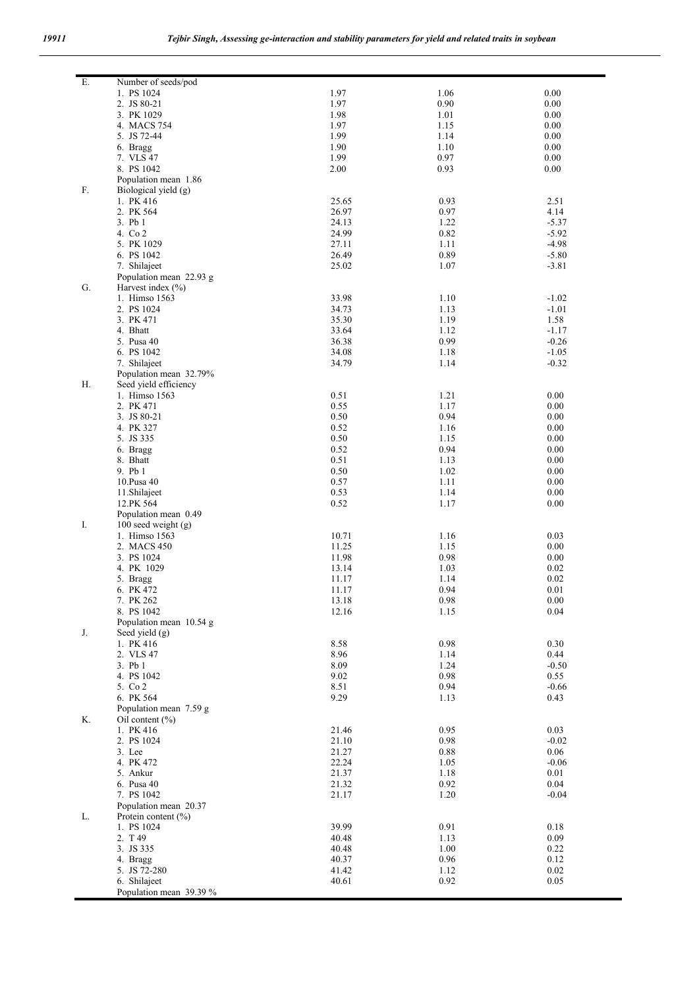| Ε. | Number of seeds/pod          |                |              |                    |
|----|------------------------------|----------------|--------------|--------------------|
|    | 1. PS 1024                   | 1.97           | 1.06         | 0.00               |
|    | 2. JS 80-21<br>3. PK 1029    | 1.97<br>1.98   | 0.90<br>1.01 | 0.00<br>0.00       |
|    | 4. MACS 754                  | 1.97           | 1.15         | 0.00               |
|    | 5. JS 72-44                  | 1.99           | 1.14         | 0.00               |
|    | 6. Bragg                     | 1.90           | 1.10         | 0.00               |
|    | 7. VLS 47                    | 1.99           | 0.97         | 0.00               |
|    | 8. PS 1042                   | 2.00           | 0.93         | 0.00               |
|    | Population mean 1.86         |                |              |                    |
| F. | Biological yield (g)         |                |              |                    |
|    | 1. PK 416<br>2. PK 564       | 25.65<br>26.97 | 0.93<br>0.97 | 2.51<br>4.14       |
|    | 3. Pb 1                      | 24.13          | 1.22         | $-5.37$            |
|    | 4. Co 2                      | 24.99          | 0.82         | $-5.92$            |
|    | 5. PK 1029                   | 27.11          | 1.11         | $-4.98$            |
|    | 6. PS 1042                   | 26.49          | 0.89         | $-5.80$            |
|    | 7. Shilajeet                 | 25.02          | 1.07         | $-3.81$            |
|    | Population mean 22.93 g      |                |              |                    |
| G. | Harvest index $(\% )$        | 33.98          |              |                    |
|    | 1. Himso 1563<br>2. PS 1024  | 34.73          | 1.10<br>1.13 | $-1.02$<br>$-1.01$ |
|    | 3. PK 471                    | 35.30          | 1.19         | 1.58               |
|    | 4. Bhatt                     | 33.64          | 1.12         | $-1.17$            |
|    | 5. Pusa 40                   | 36.38          | 0.99         | $-0.26$            |
|    | 6. PS 1042                   | 34.08          | 1.18         | $-1.05$            |
|    | 7. Shilajeet                 | 34.79          | 1.14         | $-0.32$            |
|    | Population mean 32.79%       |                |              |                    |
| Η. | Seed yield efficiency        |                |              |                    |
|    | 1. Himso 1563<br>2. PK 471   | 0.51<br>0.55   | 1.21         | 0.00               |
|    | 3. JS 80-21                  | 0.50           | 1.17<br>0.94 | 0.00<br>0.00       |
|    | 4. PK 327                    | 0.52           | 1.16         | 0.00               |
|    | 5. JS 335                    | 0.50           | 1.15         | 0.00               |
|    | 6. Bragg                     | 0.52           | 0.94         | 0.00               |
|    | 8. Bhatt                     | 0.51           | 1.13         | 0.00               |
|    | 9. Pb 1                      | 0.50           | 1.02         | 0.00               |
|    | 10. Pusa 40                  | 0.57           | 1.11         | 0.00               |
|    | 11.Shilajeet<br>12.PK 564    | 0.53<br>0.52   | 1.14<br>1.17 | 0.00<br>0.00       |
|    | Population mean 0.49         |                |              |                    |
| I. | 100 seed weight $(g)$        |                |              |                    |
|    | 1. Himso 1563                | 10.71          | 1.16         | 0.03               |
|    | 2. MACS 450                  | 11.25          | 1.15         | 0.00               |
|    | 3. PS 1024                   | 11.98          | 0.98         | 0.00               |
|    | 4. PK 1029                   | 13.14          | 1.03         | 0.02               |
|    | 5. Bragg                     | 11.17<br>11.17 | 1.14<br>0.94 | 0.02<br>0.01       |
|    | 6. PK 472<br>7. PK 262       | 13.18          | 0.98         | $0.00\,$           |
|    | 8. PS 1042                   | 12.16          | 1.15         | 0.04               |
|    | Population mean 10.54 g      |                |              |                    |
| J. | Seed yield (g)               |                |              |                    |
|    | 1. PK 416                    | 8.58           | 0.98         | 0.30               |
|    | 2. VLS 47                    | 8.96           | 1.14         | 0.44               |
|    | 3. Pb 1                      | 8.09           | 1.24         | $-0.50$            |
|    | 4. PS 1042<br>5. Co 2        | 9.02<br>8.51   | 0.98<br>0.94 | 0.55<br>$-0.66$    |
|    | 6. PK 564                    | 9.29           | 1.13         | 0.43               |
|    | Population mean 7.59 g       |                |              |                    |
| Κ. | Oil content $(\% )$          |                |              |                    |
|    | 1. PK 416                    | 21.46          | 0.95         | 0.03               |
|    | 2. PS 1024                   | 21.10          | 0.98         | $-0.02$            |
|    | 3. Lee                       | 21.27          | 0.88         | 0.06               |
|    | 4. PK 472                    | 22.24          | 1.05         | $-0.06$            |
|    | 5. Ankur<br>6. Pusa 40       | 21.37<br>21.32 | 1.18<br>0.92 | 0.01<br>0.04       |
|    | 7. PS 1042                   | 21.17          | 1.20         | $-0.04$            |
|    | Population mean 20.37        |                |              |                    |
| L. | Protein content $(\% )$      |                |              |                    |
|    | 1. PS 1024                   | 39.99          | 0.91         | 0.18               |
|    | 2. T 49                      | 40.48          | 1.13         | 0.09               |
|    | 3. JS 335                    | 40.48          | 1.00         | 0.22               |
|    | 4. Bragg                     | 40.37          | 0.96         | 0.12               |
|    | 5. JS 72-280<br>6. Shilajeet | 41.42<br>40.61 | 1.12<br>0.92 | 0.02<br>0.05       |
|    | Population mean 39.39 %      |                |              |                    |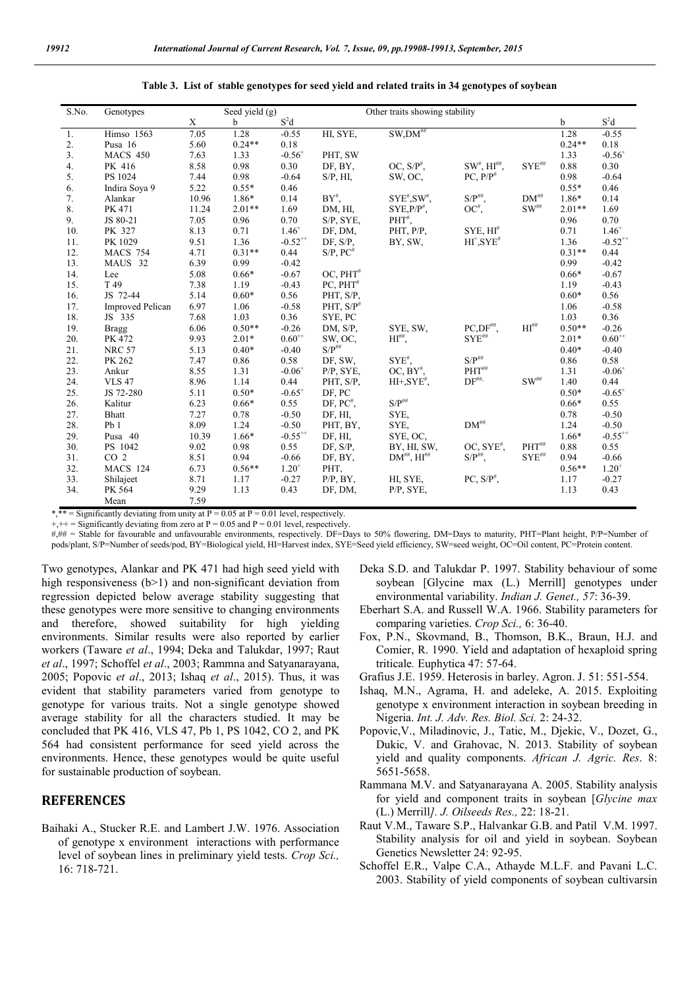| S.No.          | Genotypes               | Seed yield $(g)$ |             |                       | Other traits showing stability |                          |                                 |                        |          |                       |
|----------------|-------------------------|------------------|-------------|-----------------------|--------------------------------|--------------------------|---------------------------------|------------------------|----------|-----------------------|
|                |                         | X                | $\mathbf b$ | $S^2d$                |                                |                          |                                 |                        | b        | $S^2d$                |
| 1.             | <b>Himso</b> 1563       | 7.05             | 1.28        | $-0.55$               | HI, SYE,                       | $SW, DM^{\#}$            |                                 |                        | 1.28     | $-0.55$               |
| 2.             | Pusa 16                 | 5.60             | $0.24**$    | 0.18                  |                                |                          |                                 |                        | $0.24**$ | 0.18                  |
| 3 <sub>1</sub> | <b>MACS 450</b>         | 7.63             | 1.33        | $-0.56^{+}$           | PHT, SW                        |                          |                                 |                        | 1.33     | $-0.56^{+}$           |
| 4.             | PK 416                  | 8.58             | 0.98        | 0.30                  | DF, BY,                        | OC, $S/P^{\#}$ ,         | $SW^{\#}$ , $HI^{\# \#}$ ,      | $\mathbf{SYE}^{\# \#}$ | 0.88     | 0.30                  |
| 5.             | PS 1024                 | 7.44             | 0.98        | $-0.64$               | $S/P$ , $HI$ ,                 | SW, OC,                  | $PC, P/P^*$                     |                        | 0.98     | $-0.64$               |
| 6.             | Indira Soya 9           | 5.22             | $0.55*$     | 0.46                  |                                |                          |                                 |                        | $0.55*$  | 0.46                  |
| 7.             | Alankar                 | 10.96            | 1.86*       | 0.14                  | $BY^{\#}$                      | $SYE^{\#}$ , $SW^{\#}$ , | $S/P^{\# \#}$ ,                 | $DM^{\#}$              | 1.86*    | 0.14                  |
| 8.             | PK 471                  | 11.24            | $2.01**$    | 1.69                  | DM, HI,                        | $SYE.P/P#$ .             | $OC^*,$                         | $SW^{\# \#}$           | $2.01**$ | 1.69                  |
| 9.             | JS 80-21                | 7.05             | 0.96        | 0.70                  | S/P, SYE,                      | $\mathrm{PHT}^{\#},$     |                                 |                        | 0.96     | 0.70                  |
| 10.            | PK 327                  | 8.13             | 0.71        | $1.46^{+}$            | DF, DM,                        | PHT, P/P,                | $SYE, HI^*$                     |                        | 0.71     | $1.46^{+}$            |
| 11.            | PK 1029                 | 9.51             | 1.36        | $-0.52$ <sup>++</sup> | DF, S/P,                       | BY, SW,                  | $HI^*$ , $SYE^*$                |                        | 1.36     | $-0.52$ <sup>**</sup> |
| 12.            | <b>MACS 754</b>         | 4.71             | $0.31**$    | 0.44                  | $S/P$ , $PC$ <sup>#</sup>      |                          |                                 |                        | $0.31**$ | 0.44                  |
| 13.            | MAUS 32                 | 6.39             | 0.99        | $-0.42$               |                                |                          |                                 |                        | 0.99     | $-0.42$               |
| 14.            | Lee                     | 5.08             | $0.66*$     | $-0.67$               | $OC, PHT^*$                    |                          |                                 |                        | $0.66*$  | $-0.67$               |
| 15.            | T 49                    | 7.38             | 1.19        | $-0.43$               | $PC, PHT^*$                    |                          |                                 |                        | 1.19     | $-0.43$               |
| 16.            | JS 72-44                | 5.14             | $0.60*$     | 0.56                  | PHT, S/P.                      |                          |                                 |                        | $0.60*$  | 0.56                  |
| 17.            | <b>Improved Pelican</b> | 6.97             | 1.06        | $-0.58$               | PHT, $S/P$ <sup>#</sup>        |                          |                                 |                        | 1.06     | $-0.58$               |
| 18.            | JS 335                  | 7.68             | 1.03        | 0.36                  | SYE, PC                        |                          |                                 |                        | 1.03     | 0.36                  |
| 19.            | <b>Bragg</b>            | 6.06             | $0.50**$    | $-0.26$               | DM, S/P,                       | SYE, SW,                 | $PC, DF^{\# \#}$                | $HI^{\# \#}$           | $0.50**$ | $-0.26$               |
| 20.            | PK 472                  | 9.93             | $2.01*$     | $0.60^{++}$           | SW, OC,                        | $HI^{\#}\mathcal{F}$     | $\mathrm{SYE}^{\# \#}$          |                        | $2.01*$  | $0.60^{++}$           |
| 21.            | <b>NRC 57</b>           | 5.13             | $0.40*$     | $-0.40$               | $S/P^{\# \#}$                  |                          |                                 |                        | $0.40*$  | $-0.40$               |
| 22.            | PK 262                  | 7.47             | 0.86        | 0.58                  | DF, SW,                        | $SYE^{\#}$               | $\mathbf{S}/\mathbf{P}^{\# \#}$ |                        | 0.86     | 0.58                  |
| 23.            | Ankur                   | 8.55             | 1.31        | $-0.06$ <sup>+</sup>  | P/P, SYE,                      | $OC, BY^*,$              | $PHT^{\#}$                      |                        | 1.31     | $-0.06^{+}$           |
| 24.            | <b>VLS 47</b>           | 8.96             | 1.14        | 0.44                  | PHT, S/P,                      | $HI+, SYE^*$ ,           | $\mathrm{DF}^{\# \#}$           | $SW^{\#}$              | 1.40     | 0.44                  |
| 25.            | JS 72-280               | 5.11             | $0.50*$     | $-0.65$ <sup>+</sup>  | DF, PC                         |                          |                                 |                        | $0.50*$  | $-0.65^{+}$           |
| 26.            | Kalitur                 | 6.23             | $0.66*$     | 0.55                  | DF, $PC^{\#}$ ,                | $S/P^{\# \#}$            |                                 |                        | $0.66*$  | 0.55                  |
| 27.            | Bhatt                   | 7.27             | 0.78        | $-0.50$               | DF, HI,                        | SYE,                     |                                 |                        | 0.78     | $-0.50$               |
| 28.            | Pb1                     | 8.09             | 1.24        | $-0.50$               | PHT, BY,                       | SYE.                     | $DM^{\#}$                       |                        | 1.24     | $-0.50$               |
| 29.            | Pusa 40                 | 10.39            | $1.66*$     | $-0.55^{++}$          | DF, HI,                        | SYE, OC,                 |                                 |                        | $1.66*$  | $-0.55^{++}$          |
| 30.            | PS 1042                 | 9.02             | 0.98        | 0.55                  | DF, S/P,                       | BY, HI, SW,              | $OC, SYE^*$ .                   | $PHT^{\# \#}$          | 0.88     | 0.55                  |
| 31.            | CO <sub>2</sub>         | 8.51             | 0.94        | $-0.66$               | DF, BY,                        | $DM^{***}$ , $HI^{***}$  | $S/P^{\# \#}$                   | $SYE^{\#}$             | 0.94     | $-0.66$               |
| 32.            | <b>MACS 124</b>         | 6.73             | $0.56**$    | $1.20^{+}$            | PHT,                           |                          |                                 |                        | $0.56**$ | $1.20^{+}$            |
| 33.            | Shilajeet               | 8.71             | 1.17        | $-0.27$               | $P/P$ , $BY$ ,                 | HI, SYE,                 | $PC, S/P^*,$                    |                        | 1.17     | $-0.27$               |
| 34.            | PK 564                  | 9.29             | 1.13        | 0.43                  | DF, DM,                        | P/P, SYE,                |                                 |                        | 1.13     | 0.43                  |
|                | Mean                    | 7.59             |             |                       |                                |                          |                                 |                        |          |                       |

**Table 3. List of stable genotypes for seed yield and related traits in 34 genotypes of soybean**

\*,\*\* = Significantly deviating from unity at  $P = 0.05$  at  $P = 0.01$  level, respectively.

 $+$ ++ = Significantly deviating from zero at P = 0.05 and P = 0.01 level, respectively.

#,## = Stable for favourable and unfavourable environments, respectively. DF=Days to 50% flowering, DM=Days to maturity, PHT=Plant height, P/P=Number of pods/plant, S/P=Number of seeds/pod, BY=Biological yield, HI=Harvest index, SYE=Seed yield efficiency, SW=seed weight, OC=Oil content, PC=Protein content.

Two genotypes, Alankar and PK 471 had high seed yield with high responsiveness (b>1) and non-significant deviation from regression depicted below average stability suggesting that these genotypes were more sensitive to changing environments and therefore, showed suitability for high yielding environments. Similar results were also reported by earlier workers (Taware *et al*., 1994; Deka and Talukdar, 1997; Raut *et al*., 1997; Schoffel *et al*., 2003; Rammna and Satyanarayana, 2005; Popovic *et al*., 2013; Ishaq *et al*., 2015). Thus, it was evident that stability parameters varied from genotype to genotype for various traits. Not a single genotype showed average stability for all the characters studied. It may be concluded that PK 416, VLS 47, Pb 1, PS 1042, CO 2, and PK 564 had consistent performance for seed yield across the environments. Hence, these genotypes would be quite useful for sustainable production of soybean.

#### **REFERENCES**

Baihaki A., Stucker R.E. and Lambert J.W. 1976. Association of genotype x environment interactions with performance level of soybean lines in preliminary yield tests. *Crop Sci.,*  16: 718-721.

- Deka S.D. and Talukdar P. 1997. Stability behaviour of some soybean [Glycine max (L.) Merrill] genotypes under environmental variability. *Indian J. Genet., 57*: 36-39.
- Eberhart S.A. and Russell W.A. 1966. Stability parameters for comparing varieties. *Crop Sci.,* 6: 36-40.
- Fox, P.N., Skovmand, B., Thomson, B.K., Braun, H.J. and Comier, R. 1990. Yield and adaptation of hexaploid spring triticale*.* Euphytica 47: 57-64.
- Grafius J.E. 1959. Heterosis in barley. Agron. J. 51: 551-554.
- Ishaq, M.N., Agrama, H. and adeleke, A. 2015. Exploiting genotype x environment interaction in soybean breeding in Nigeria. *Int. J. Adv. Res. Biol. Sci.* 2: 24-32.
- Popovic,V., Miladinovic, J., Tatic, M., Djekic, V., Dozet, G., Dukic, V. and Grahovac, N. 2013. Stability of soybean yield and quality components. *African J. Agric. Res*. 8: 5651-5658.
- Rammana M.V. and Satyanarayana A. 2005. Stability analysis for yield and component traits in soybean [*Glycine max* (L.) Merrill*]. J. Oilseeds Res.,* 22: 18-21.
- Raut V.M., Taware S.P., Halvankar G.B. and Patil V.M. 1997. Stability analysis for oil and yield in soybean. Soybean Genetics Newsletter 24: 92-95.
- Schoffel E.R., Valpe C.A., Athayde M.L.F. and Pavani L.C. 2003. Stability of yield components of soybean cultivarsin